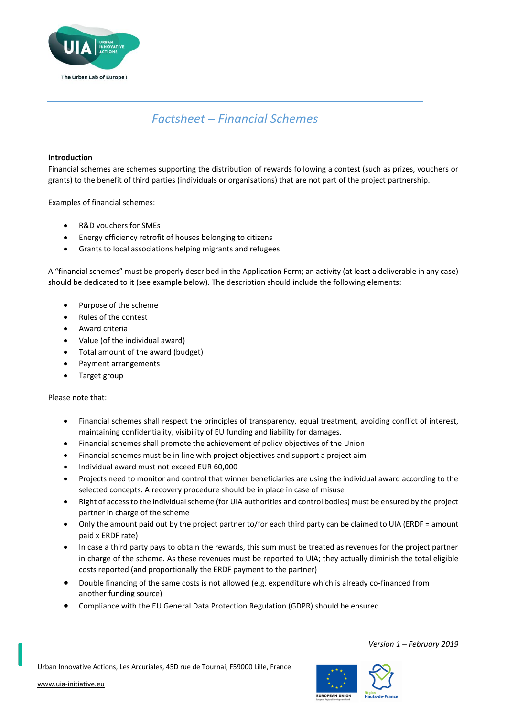

# *Factsheet – Financial Schemes*

## **Introduction**

Financial schemes are schemes supporting the distribution of rewards following a contest (such as prizes, vouchers or grants) to the benefit of third parties (individuals or organisations) that are not part of the project partnership.

Examples of financial schemes:

- R&D vouchers for SMEs
- Energy efficiency retrofit of houses belonging to citizens
- Grants to local associations helping migrants and refugees

A "financial schemes" must be properly described in the Application Form; an activity (at least a deliverable in any case) should be dedicated to it (see example below). The description should include the following elements:

- Purpose of the scheme
- Rules of the contest
- Award criteria
- Value (of the individual award)
- Total amount of the award (budget)
- Payment arrangements
- Target group

Please note that:

- Financial schemes shall respect the principles of transparency, equal treatment, avoiding conflict of interest, maintaining confidentiality, visibility of EU funding and liability for damages.
- Financial schemes shall promote the achievement of policy objectives of the Union
- Financial schemes must be in line with project objectives and support a project aim
- Individual award must not exceed EUR 60,000
- Projects need to monitor and control that winner beneficiaries are using the individual award according to the selected concepts. A recovery procedure should be in place in case of misuse
- Right of access to the individual scheme (for UIA authorities and control bodies) must be ensured by the project partner in charge of the scheme
- Only the amount paid out by the project partner to/for each third party can be claimed to UIA (ERDF = amount paid x ERDF rate)
- In case a third party pays to obtain the rewards, this sum must be treated as revenues for the project partner in charge of the scheme. As these revenues must be reported to UIA; they actually diminish the total eligible costs reported (and proportionally the ERDF payment to the partner)
- Double financing of the same costs is not allowed (e.g. expenditure which is already co-financed from another funding source)
- Compliance with the EU General Data Protection Regulation (GDPR) should be ensured

Urban Innovative Actions, Les Arcuriales, 45D rue de Tournai, F59000 Lille, France

[www.uia-initiative.eu](http://www.uia-initiative.eu/)



*Version 1 – February 2019*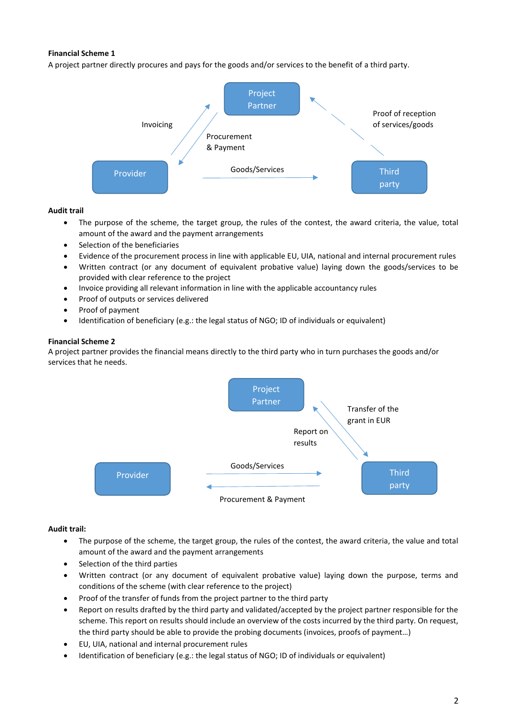## **Financial Scheme 1**

A project partner directly procures and pays for the goods and/or services to the benefit of a third party.



### **Audit trail**

- The purpose of the scheme, the target group, the rules of the contest, the award criteria, the value, total amount of the award and the payment arrangements
- Selection of the beneficiaries
- Evidence of the procurement process in line with applicable EU, UIA, national and internal procurement rules
- Written contract (or any document of equivalent probative value) laying down the goods/services to be provided with clear reference to the project
- Invoice providing all relevant information in line with the applicable accountancy rules
- Proof of outputs or services delivered
- Proof of payment
- Identification of beneficiary (e.g.: the legal status of NGO; ID of individuals or equivalent)

### **Financial Scheme 2**

A project partner provides the financial means directly to the third party who in turn purchases the goods and/or services that he needs.



### **Audit trail:**

- The purpose of the scheme, the target group, the rules of the contest, the award criteria, the value and total amount of the award and the payment arrangements
- Selection of the third parties
- Written contract (or any document of equivalent probative value) laying down the purpose, terms and conditions of the scheme (with clear reference to the project)
- Proof of the transfer of funds from the project partner to the third party
- Report on results drafted by the third party and validated/accepted by the project partner responsible for the scheme. This report on results should include an overview of the costs incurred by the third party. On request, the third party should be able to provide the probing documents (invoices, proofs of payment…)
- EU, UIA, national and internal procurement rules
- Identification of beneficiary (e.g.: the legal status of NGO; ID of individuals or equivalent)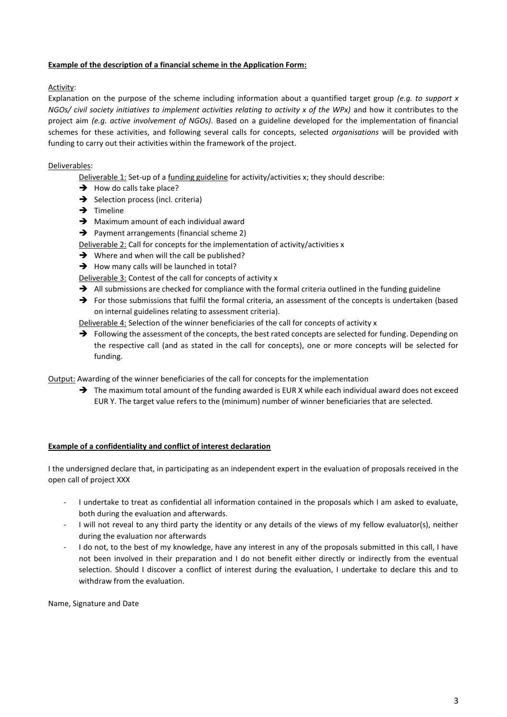## **Example of the description of a financial scheme in the Application Form:**

## Activity:

Explanation on the purpose of the scheme including information about a quantified target group *(e.g. to support x NGOs/ civil society initiatives to implement activities relating to activity x of the WPx)* and how it contributes to the project aim *(e.g. active involvement of NGOs)*. Based on a guideline developed for the implementation of financial schemes for these activities, and following several calls for concepts, selected *organisations* will be provided with funding to carry out their activities within the framework of the project.

## Deliverables:

Deliverable 1: Set-up of a funding guideline for activity/activities x; they should describe:

- $\rightarrow$  How do calls take place?
- $\rightarrow$  Selection process (incl. criteria)
- $\rightarrow$  Timeline
- $\rightarrow$  Maximum amount of each individual award
- → Payment arrangements (financial scheme 2)

Deliverable 2: Call for concepts for the implementation of activity/activities x

- $\rightarrow$  Where and when will the call be published?
- $\rightarrow$  How many calls will be launched in total?

Deliverable 3: Contest of the call for concepts of activity x

- $\rightarrow$  All submissions are checked for compliance with the formal criteria outlined in the funding guideline
- For those submissions that fulfil the formal criteria, an assessment of the concepts is undertaken (based on internal guidelines relating to assessment criteria).

Deliverable 4: Selection of the winner beneficiaries of the call for concepts of activity x

 $\rightarrow$  Following the assessment of the concepts, the best rated concepts are selected for funding. Depending on the respective call (and as stated in the call for concepts), one or more concepts will be selected for funding.

Output: Awarding of the winner beneficiaries of the call for concepts for the implementation

→ The maximum total amount of the funding awarded is EUR X while each individual award does not exceed EUR Y. The target value refers to the (minimum) number of winner beneficiaries that are selected.

### **Example of a confidentiality and conflict of interest declaration**

I the undersigned declare that, in participating as an independent expert in the evaluation of proposals received in the open call of project XXX

- I undertake to treat as confidential all information contained in the proposals which I am asked to evaluate, both during the evaluation and afterwards.
- I will not reveal to any third party the identity or any details of the views of my fellow evaluator(s), neither during the evaluation nor afterwards
- I do not, to the best of my knowledge, have any interest in any of the proposals submitted in this call, I have not been involved in their preparation and I do not benefit either directly or indirectly from the eventual selection. Should I discover a conflict of interest during the evaluation, I undertake to declare this and to withdraw from the evaluation.

Name, Signature and Date